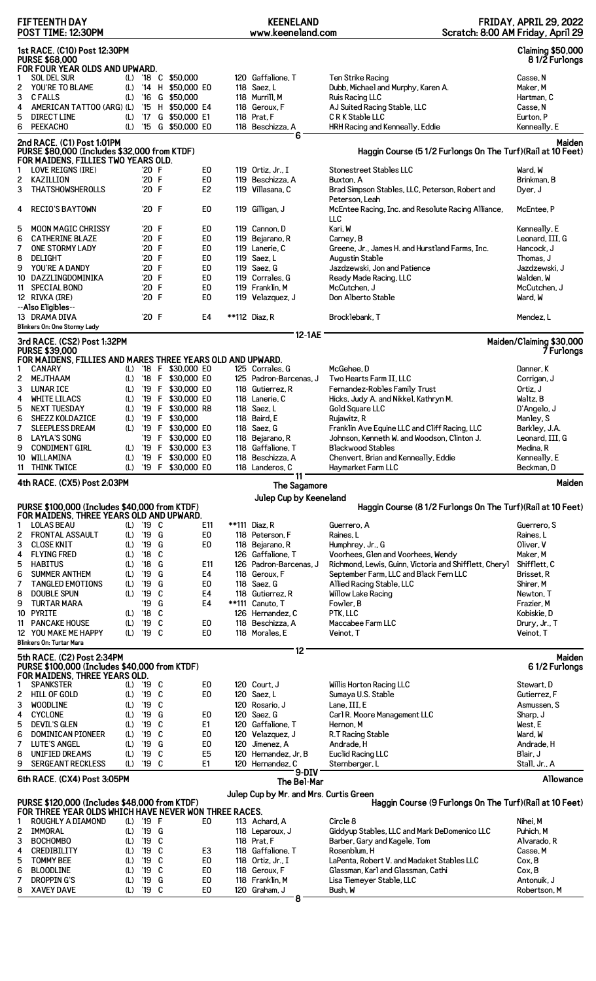|        | <b>FIFTEENTH DAY</b><br>POST TIME: 12:30PM                                                                        |            |               |        |                                        |                                  | <b>KEENELAND</b><br>www.keeneland.com      |                                                                            | <b>FRIDAY, APRIL 29, 2022</b><br>Scratch: 8:00 AM Friday, April 29 |
|--------|-------------------------------------------------------------------------------------------------------------------|------------|---------------|--------|----------------------------------------|----------------------------------|--------------------------------------------|----------------------------------------------------------------------------|--------------------------------------------------------------------|
|        | 1st RACE. (C10) Post 12:30PM<br><b>PURSE \$68,000</b><br>FOR FOUR YEAR OLDS AND UPWARD.                           |            |               |        |                                        |                                  |                                            |                                                                            | <b>Claiming \$50,000</b><br>81/2 Furlongs                          |
| 1      | <b>SOL DEL SUR</b>                                                                                                | (L)        |               |        | '18 C \$50,000                         |                                  | 120 Gaffalione, T                          | Ten Strike Racing                                                          | Casse, N                                                           |
| 2      | YOU'RE TO BLAME                                                                                                   | (L)        |               |        | '14 H \$50,000 E0                      |                                  | 118 Saez, L                                | Dubb, Michael and Murphy, Karen A.                                         | Maker, M                                                           |
| 3      | <b>CFALLS</b>                                                                                                     | (L)        | $^{\prime}16$ |        | G \$50,000                             |                                  | 118 Murrill, M                             | Ruis Racing LLC                                                            | Hartman, C                                                         |
| 4      | AMERICAN TATTOO (ARG) (L)                                                                                         |            |               |        | '15 H \$50,000 E4                      |                                  | 118 Geroux, F                              | AJ Suited Racing Stable, LLC                                               | Casse, N                                                           |
| 5      | <b>DIRECT LINE</b>                                                                                                | (L)        | '17           |        | G \$50,000 E1                          |                                  | 118 Prat, F                                | CRK Stable LLC                                                             | Eurton, P                                                          |
| 6      | <b>PEEKACHO</b>                                                                                                   | (L)        |               |        | '15 G \$50,000 E0                      |                                  | 118 Beschizza, A                           | HRH Racing and Kenneally, Eddie                                            | Kenneally, E                                                       |
|        | 2nd RACE. (C1) Post 1:01PM<br>PURSE \$80,000 (Includes \$32,000 from KTDF)<br>FOR MAIDENS, FILLIES TWO YEARS OLD. |            |               |        |                                        |                                  | 6                                          | Haggin Course (5 1/2 Furlongs On The Turf) (Rail at 10 Feet)               | Maiden                                                             |
| 1      | LOVE REIGNS (IRE)                                                                                                 |            | '20 F         |        |                                        | E <sub>0</sub>                   | 119 Ortiz, Jr., I                          | Stonestreet Stables LLC                                                    | Ward, W                                                            |
| 2      | KAZILLION                                                                                                         |            | '20 F         |        |                                        | E <sub>0</sub>                   | 119 Beschizza, A                           | Buxton, A                                                                  | Brinkman, B                                                        |
| 3      | <b>THATSHOWSHEROLLS</b>                                                                                           |            | '20 F         |        |                                        | E <sub>2</sub>                   | 119 Villasana, C                           | Brad Simpson Stables, LLC, Peterson, Robert and                            | Dyer, J                                                            |
| 4      | <b>RECIO'S BAYTOWN</b>                                                                                            |            | '20 F         |        |                                        | E0                               | 119 Gilligan, J                            | Peterson, Leah<br>McEntee Racing, Inc. and Resolute Racing Alliance,<br>ЩC | McEntee, P                                                         |
| 5      | <b>MOON MAGIC CHRISSY</b>                                                                                         |            | '20 F         |        |                                        | E0                               | 119 Cannon, D                              | Kari, W                                                                    | Kenneally, E                                                       |
| 6      | <b>CATHERINE BLAZE</b>                                                                                            |            | '20 F         |        |                                        | E <sub>0</sub>                   | 119 Bejarano, R                            | Carney, B                                                                  | Leonard, III, G                                                    |
| 7      | ONE STORMY LADY                                                                                                   |            | '20 F         |        |                                        | E <sub>0</sub>                   | 119 Lanerie, C                             | Greene, Jr., James H. and Hurstland Farms, Inc.                            | Hancock, J                                                         |
| 8      | <b>DELIGHT</b>                                                                                                    |            | '20 F         |        |                                        | E <sub>0</sub>                   | 119 Saez, L                                | Augustin Stable                                                            | Thomas, J                                                          |
| 9      | YOU'RE A DANDY                                                                                                    |            | '20 F         |        |                                        | E <sub>0</sub>                   | 119 Saez, G                                | Jazdzewski, Jon and Patience                                               | Jazdzewski, J                                                      |
| 10     | DAZZLINGDOMINIKA                                                                                                  |            | '20 F         |        |                                        | E <sub>0</sub>                   | 119 Corrales, G                            | Ready Made Racing, LLC                                                     | Walden, W                                                          |
|        | 11 SPECIAL BOND                                                                                                   |            | '20 F         |        |                                        | E <sub>0</sub>                   | 119 Franklin, M                            | McCutchen, J                                                               | McCutchen. J                                                       |
|        | 12 RIVKA (IRE)<br>--Also Eligibles--                                                                              |            | '20 F         |        |                                        | E <sub>0</sub>                   | 119 Velazquez, J                           | Don Alberto Stable                                                         | Ward. W                                                            |
|        | 13 DRAMA DIVA                                                                                                     |            | '20 F         |        |                                        | E4                               | **112 Diaz, R                              | Brocklebank, T                                                             | Mendez, L                                                          |
|        | Blinkers On: One Stormy Lady<br>3rd RACE. (CS2) Post 1:32PM                                                       |            |               |        |                                        |                                  | 12-1AE                                     |                                                                            | Maiden/Claiming \$30,000                                           |
|        | <b>PURSE \$39,000</b>                                                                                             |            |               |        |                                        |                                  |                                            |                                                                            | 7 Furlongs                                                         |
|        | FOR MAIDENS, FILLIES AND MARES THREE YEARS OLD AND UPWARD.                                                        |            |               |        |                                        |                                  |                                            |                                                                            |                                                                    |
| 1      | <b>CANARY</b>                                                                                                     | (L)        |               |        | '18 F \$30,000 E0                      |                                  | 125 Corrales, G                            | McGehee.D<br>Two Hearts Farm II, LLC                                       | Danner, K                                                          |
| 2<br>3 | MEJTHAAM<br><b>LUNAR ICE</b>                                                                                      | (L)<br>(L) |               |        | '18 F \$30,000 E0<br>'19 F \$30,000 E0 |                                  | 125 Padron-Barcenas, J<br>118 Gutierrez, R |                                                                            | Corrigan, J<br>Ortiz, J                                            |
| 4      | WHITE LILACS                                                                                                      | (L)        |               |        | '19 F \$30,000 E0                      |                                  | 118 Lanerie. C                             | Fernandez-Robles Family Trust<br>Hicks, Judy A. and Nikkel, Kathryn M.     | Waltz, B                                                           |
| 5      | <b>NEXT TUESDAY</b>                                                                                               | (L)        |               |        | '19 F \$30,000 R8                      |                                  | 118 Saez, L                                | Gold Square LLC                                                            | D'Angelo, J                                                        |
| 6      | <b>SHEZZ KOLDAZICE</b>                                                                                            | (L)        |               |        | '19 F \$30,000                         |                                  | 118 Baird, E                               | Rujawitz, R                                                                | Manley, S                                                          |
| 7      | <b>SLEEPLESS DREAM</b>                                                                                            | (L)        |               |        | '19 F \$30,000 E0                      |                                  | 118 Saez. G                                | Franklin Ave Equine LLC and Cliff Racing, LLC                              | Barkley, J.A.                                                      |
| 8      | <b>LAYLA'S SONG</b>                                                                                               |            |               |        | '19 F \$30,000 E0                      |                                  | 118 Bejarano, R                            | Johnson, Kenneth W. and Woodson, Clinton J.                                | Leonard, III, G                                                    |
| 9      | <b>CONDIMENT GIRL</b>                                                                                             | (L)        |               |        | '19 F \$30,000 E3                      |                                  | 118 Gaffalione, T                          | <b>Blackwood Stables</b>                                                   | Medina, R                                                          |
| 10     | WILLAMINA                                                                                                         | (L)        |               |        | '19 F \$30,000 E0                      |                                  | 118 Beschizza, A                           | Chenvert, Brian and Kenneally, Eddie                                       | Kenneally, E                                                       |
| 11     | <b>THINK TWICE</b>                                                                                                | (L)        |               |        | '19 F \$30,000 E0                      |                                  | 118 Landeros, C<br>11                      | Haymarket Farm LLC                                                         | Beckman, D                                                         |
|        | 4th RACE. (CX5) Post 2:03PM                                                                                       |            |               |        |                                        |                                  | The Sagamore                               |                                                                            | Maiden                                                             |
|        | PURSE \$100,000 (Includes \$40,000 from KTDF)                                                                     |            |               |        |                                        |                                  | Julep Cup by Keeneland                     | Haggin Course (8 1/2 Furlongs On The Turf) (Rail at 10 Feet)               |                                                                    |
|        | FOR MAIDENS, THREE YEARS OLD AND UPWARD.                                                                          |            |               |        |                                        |                                  |                                            |                                                                            |                                                                    |
| 1      | <b>LOLAS BEAU</b>                                                                                                 |            | (L) '19 C     |        |                                        | E11                              | **111 Diaz, R                              | Guerrero, A                                                                | Guerrero, S                                                        |
| 2      | FRONTAL ASSAULT                                                                                                   | (L)        | '19 G         |        |                                        | E <sub>0</sub>                   | 118 Peterson, F                            | Raines. L                                                                  | Raines, L                                                          |
| 3      | <b>CLOSE KNIT</b>                                                                                                 | (L)        | '19           | G      |                                        | E0                               | 118 Bejarano, R                            | Humphrey, Jr., G                                                           | Oliver, V                                                          |
| 4      | <b>FLYING FRED</b>                                                                                                | (L)        | $^{\prime}18$ | C      |                                        |                                  | 126 Gaffalione, T                          | Voorhees, Glen and Voorhees, Wendy                                         | Maker, M                                                           |
| 5      |                                                                                                                   |            | '18           | G      |                                        | E11                              | 126 Padron-Barcenas, J                     | Richmond, Lewis, Guinn, Victoria and Shifflett, Cheryl                     |                                                                    |
|        | <b>HABITUS</b>                                                                                                    | (L)        |               |        |                                        |                                  |                                            |                                                                            | Shifflett, C                                                       |
| 6      | <b>SUMMER ANTHEM</b>                                                                                              | (L)        | '19           | G      |                                        | E4                               | 118 Geroux, F                              | September Farm, LLC and Black Fern LLC                                     | Brisset, R                                                         |
| 7      | <b>TANGLED EMOTIONS</b>                                                                                           | (L)        | '19           | G      |                                        | E <sub>0</sub>                   | 118 Saez, G                                | Allied Racing Stable, LLC                                                  | Shirer, M                                                          |
| 8      | DOUBLE SPUN                                                                                                       | (L)        | '19           | C      |                                        | E4                               | 118 Gutierrez, R                           | Willow Lake Racing                                                         | Newton, T                                                          |
| 9      | <b>TURTAR MARA</b>                                                                                                |            | '19           | G      |                                        | E4                               | **111 Canuto, T                            | Fowler, B                                                                  | Frazier, M                                                         |
| 10     | <b>PYRITE</b>                                                                                                     | (L)        | $^{\prime}18$ | C      |                                        |                                  | 126 Hernandez, C                           | PTK, LLC                                                                   | Kobiskie, D                                                        |
| 11     | <b>PANCAKE HOUSE</b>                                                                                              | (L)<br>(L) | '19           | C      |                                        | E0<br>E0                         | 118 Beschizza, A                           | Maccabee Farm LLC                                                          | Drury, Jr., T                                                      |
|        | 12 YOU MAKE ME HAPPY<br>Blinkers On: Turtar Mara                                                                  |            | '19 C         |        |                                        |                                  | 118 Morales, E                             | Veinot, T                                                                  | Veinot, T                                                          |
|        | 5th RACE. (C2) Post 2:34PM                                                                                        |            |               |        |                                        |                                  | 12                                         |                                                                            | Maiden                                                             |
|        | PURSE \$100,000 (Includes \$40,000 from KTDF)<br>FOR MAIDENS, THREE YEARS OLD.                                    |            |               |        |                                        |                                  |                                            |                                                                            | 61/2 Furlongs                                                      |
| 1      | <b>SPANKSTER</b>                                                                                                  | (L)        | '19 C         |        |                                        | E0                               | 120 Court, J                               | Willis Horton Racing LLC                                                   | Stewart, D                                                         |
| 2      | HILL OF GOLD                                                                                                      | (L)        | '19           | C      |                                        | E0                               | 120 Saez, L                                | Sumaya U.S. Stable                                                         | Gutierrez, F                                                       |
| 3      | <b>WOODLINE</b>                                                                                                   | (L)        | '19           | C      |                                        |                                  | 120 Rosario, J                             | Lane, III, E                                                               | Asmussen, S                                                        |
| 4      | <b>CYCLONE</b>                                                                                                    | (L)        | '19           | G      |                                        | E <sub>0</sub>                   | 120 Saez, G                                | Carl R. Moore Management LLC                                               | Sharp, J                                                           |
| 5      | <b>DEVIL'S GLEN</b>                                                                                               | (L)        | '19           | C      |                                        | E1                               | 120 Gaffalione, T                          | Hernon, M                                                                  | West, E                                                            |
| 6      | DOMINICAN PIONEER                                                                                                 | (L)        | '19           | C      |                                        | E <sub>0</sub>                   | 120 Velazquez, J                           | R.T Racing Stable                                                          | Ward, W                                                            |
| 7      | <b>LUTE'S ANGEL</b>                                                                                               | (L)        | '19           | G      |                                        | E <sub>0</sub>                   | 120 Jimenez, A                             | Andrade, H                                                                 | Andrade, H                                                         |
| 8      | UNIFIED DREAMS                                                                                                    | (L)        | '19           | C      |                                        | E <sub>5</sub>                   | 120 Hernandez, Jr, B                       | Euclid Racing LLC                                                          | Blair, J                                                           |
| 9      | <b>SERGEANT RECKLESS</b>                                                                                          | (L)        | '19 C         |        |                                        | E1                               | 120 Hernandez, C<br>$9-DIV$                | Sternberger, L                                                             | Stall, Jr., A                                                      |
|        | 6th RACE. (CX4) Post 3:05PM                                                                                       |            |               |        |                                        |                                  | The Bel-Mar                                |                                                                            | Allowance                                                          |
|        | PURSE \$120,000 (Includes \$48,000 from KTDF)                                                                     |            |               |        |                                        |                                  | Julep Cup by Mr. and Mrs. Curtis Green     | Haggin Course (9 Furlongs On The Turf) (Rail at 10 Feet)                   |                                                                    |
|        | FOR THREE YEAR OLDS WHICH HAVE NEVER WON THREE RACES.                                                             |            |               |        |                                        |                                  |                                            |                                                                            |                                                                    |
| 1      | ROUGHLY A DIAMOND                                                                                                 | (L)        | '19 F         |        |                                        | E <sub>0</sub>                   | 113 Achard, A                              | Circle 8                                                                   | Nihei, M                                                           |
| 2      | IMMORAL                                                                                                           | (L)        | '19 G         |        |                                        |                                  | 118 Leparoux, J                            | Giddyup Stables, LLC and Mark DeDomenico LLC                               | Puhich, M                                                          |
| 3      | <b>BOCHOMBO</b>                                                                                                   | (L)        | '19           | C      |                                        |                                  | 118 Prat, F                                | Barber, Gary and Kagele, Tom                                               | Alvarado, R                                                        |
| 4      | CREDIBILITY                                                                                                       | (L)        | '19           | C      |                                        | E <sub>3</sub>                   | 118 Gaffalione, T                          | Rosenblum, H                                                               | Casse, M                                                           |
| 5<br>6 | <b>TOMMY BEE</b><br><b>BLOODLINE</b>                                                                              | (L)<br>(L) | '19<br>'19    | C<br>C |                                        | E <sub>0</sub><br>E <sub>0</sub> | 118 Ortiz. Jr., I<br>118 Geroux, F         | LaPenta, Robert V. and Madaket Stables LLC                                 | Cox, B<br>Cox, B                                                   |
| 7      | DROPPIN G'S                                                                                                       | (L)        | '19           | G      |                                        | E0                               | 118 Franklin, M                            | Glassman, Karl and Glassman, Cathi<br>Lisa Tiemeyer Stable, LLC            | Antonuik, J                                                        |
|        | 8 XAVEY DAVE                                                                                                      |            | (L) '19 C     |        |                                        | E <sub>0</sub>                   | 120 Graham, J<br>8                         | Bush, W                                                                    | Robertson, M                                                       |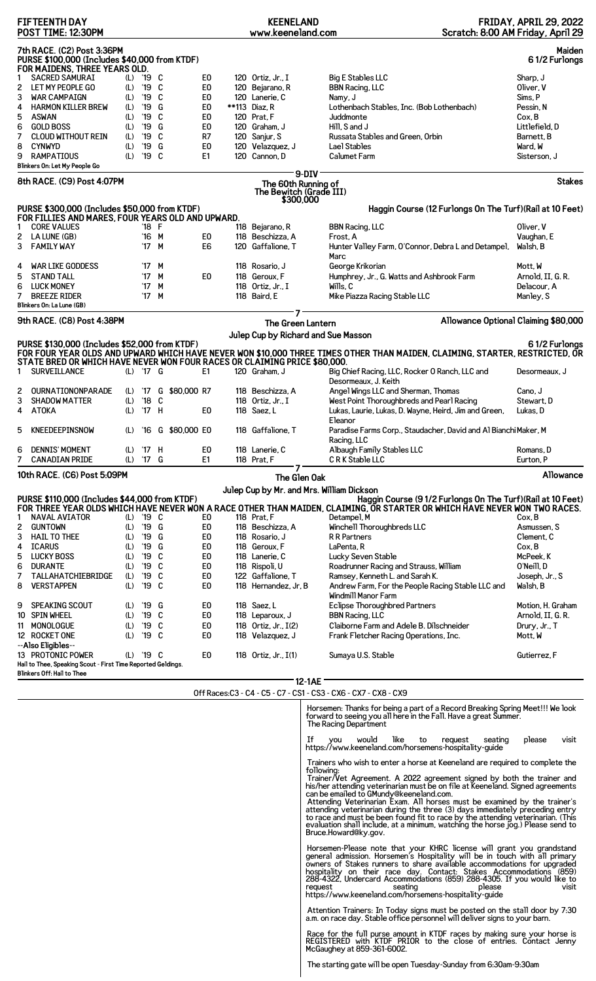|        | <b>FIFTEENTH DAY</b><br>POST TIME: 12:30PM                                                                      |            |                          |        |                                  | <b>KEENELAND</b><br>www.keeneland.com                       |                                                                                                                                                                                                                                                    |                    | <b>FRIDAY, APRIL 29, 2022</b><br>Scratch: 8:00 AM Friday, April 29 |
|--------|-----------------------------------------------------------------------------------------------------------------|------------|--------------------------|--------|----------------------------------|-------------------------------------------------------------|----------------------------------------------------------------------------------------------------------------------------------------------------------------------------------------------------------------------------------------------------|--------------------|--------------------------------------------------------------------|
|        | 7th RACE. (C2) Post 3:36PM<br>PURSE \$100,000 (Includes \$40,000 from KTDF)<br>FOR MAIDENS, THREE YEARS OLD.    |            |                          |        |                                  |                                                             |                                                                                                                                                                                                                                                    |                    | Maiden<br>61/2 Furlongs                                            |
|        | <b>SACRED SAMURAI</b>                                                                                           | (L)        | '19 C                    |        | E <sub>0</sub>                   | 120 Ortiz, Jr., I                                           | <b>Big E Stables LLC</b>                                                                                                                                                                                                                           |                    | Sharp, J                                                           |
| 2<br>3 | LET MY PEOPLE GO<br><b>WAR CAMPAIGN</b>                                                                         | (L)<br>(L) | '19 C<br>'19             | C      | E0<br>E <sub>0</sub>             | 120 Bejarano, R<br>120 Lanerie, C                           | <b>BBN Racing, LLC</b><br>Namy, J                                                                                                                                                                                                                  |                    | Oliver, V<br>Sims, P                                               |
| 4      | <b>HARMON KILLER BREW</b>                                                                                       | (L)        | '19                      | G      | E <sub>0</sub>                   | **113 Diaz, R                                               | Lothenbach Stables, Inc. (Bob Lothenbach)                                                                                                                                                                                                          |                    | Pessin, N                                                          |
| 5      | <b>ASWAN</b>                                                                                                    | (L)        | '19                      | C      | E0                               | 120 Prat, F                                                 | Juddmonte                                                                                                                                                                                                                                          |                    | Cox, B                                                             |
| 6<br>7 | <b>GOLD BOSS</b><br>CLOUD WITHOUT REIN                                                                          | (L)<br>(L) | '19<br>'19               | G<br>C | E <sub>0</sub><br>R7             | 120 Graham, J<br>120 Sanjur, S                              | Hill, S and J<br>Russata Stables and Green, Orbin                                                                                                                                                                                                  |                    | Littlefield, D<br>Barnett, B                                       |
| 8      | <b>CYNWYD</b>                                                                                                   | (L)        | '19                      | G      | E0                               | 120 Velazquez, J                                            | Lael Stables                                                                                                                                                                                                                                       |                    | Ward, W                                                            |
| 9      | <b>RAMPATIOUS</b>                                                                                               | (L)        | '19 C                    |        | E1                               | 120 Cannon, D                                               | Calumet Farm                                                                                                                                                                                                                                       |                    | Sisterson, J                                                       |
|        | Blinkers On: Let My People Go                                                                                   |            |                          |        |                                  |                                                             | $9-DIV$                                                                                                                                                                                                                                            |                    |                                                                    |
|        | 8th RACE. (C9) Post 4:07PM                                                                                      |            |                          |        |                                  | The 60th Running of<br>The Bewitch (Grade III)<br>\$300,000 |                                                                                                                                                                                                                                                    |                    | Stakes                                                             |
|        | PURSE \$300,000 (Includes \$50,000 from KTDF)<br>FOR FILLIES AND MARES, FOUR YEARS OLD AND UPWARD.              |            |                          |        |                                  |                                                             | Haggin Course (12 Furlongs On The Turf) (Rail at 10 Feet)                                                                                                                                                                                          |                    |                                                                    |
| 2      | <b>CORE VALUES</b><br>LA LUNE (GB)                                                                              |            | '18 F<br>'16 M           |        | E0                               | 118 Bejarano, R<br>118 Beschizza, A                         | <b>BBN Racing, LLC</b><br>Frost. A                                                                                                                                                                                                                 |                    | Oliver, V<br>Vaughan, E                                            |
| 3      | <b>FAMILY WAY</b>                                                                                               |            | '17 M                    |        | E <sub>6</sub>                   | 120 Gaffalione, T                                           | Hunter Valley Farm, O'Connor, Debra L and Detampel,<br>Marc                                                                                                                                                                                        |                    | Walsh, B                                                           |
| 4      | <b>WAR LIKE GODDESS</b>                                                                                         |            | '17 M                    |        |                                  | 118 Rosario, J                                              | George Krikorian                                                                                                                                                                                                                                   |                    | Mott, W                                                            |
| 5<br>6 | <b>STAND TALL</b><br><b>LUCK MONEY</b>                                                                          |            | '17<br>$^{\prime}$ 17    | M<br>M | E <sub>0</sub>                   | 118 Geroux. F<br>118 Ortiz. Jr., I                          | Humphrey, Jr., G. Watts and Ashbrook Farm<br>Wills, C                                                                                                                                                                                              |                    | Arnold, II, G. R.<br>Delacour, A                                   |
| 7      | <b>BREEZE RIDER</b>                                                                                             |            | '17                      | М      |                                  | 118 Baird, E                                                | Mike Piazza Racing Stable LLC                                                                                                                                                                                                                      |                    | Manley, S                                                          |
|        | Blinkers On: La Lune (GB)                                                                                       |            |                          |        |                                  |                                                             |                                                                                                                                                                                                                                                    |                    |                                                                    |
|        | 9th RACE. (C8) Post 4:38PM                                                                                      |            |                          |        |                                  | The Green Lantern                                           | Julep Cup by Richard and Sue Masson                                                                                                                                                                                                                |                    | Allowance Optional Claiming \$80,000                               |
|        | PURSE \$130,000 (Includes \$52,000 from KTDF)                                                                   |            |                          |        |                                  |                                                             | FOR FOUR YEAR OLDS AND UPWARD WHICH HAVE NEVER WON \$10,000 THREE TIMES OTHER THAN MAIDEN, CLAIMING, STARTER, RESTRICTED, OR                                                                                                                       |                    | 61/2 Furlongs                                                      |
| 1.     | STATE BRED OR WHICH HAVE NEVER WON FOUR RACES OR CLAIMING PRICE \$80,000.<br>SURVEILLANCE                       |            | (L) '17 G                |        | E1                               | 120 Graham, J                                               | Big Chief Racing, LLC, Rocker O Ranch, LLC and<br>Desormeaux, J. Keith                                                                                                                                                                             |                    | Desormeaux, J                                                      |
| 2      | OURNATIONONPARADE                                                                                               |            | (L) '17                  |        | G \$80,000 R7                    | 118 Beschizza, A                                            | Angel Wings LLC and Sherman, Thomas                                                                                                                                                                                                                |                    | Cano, J                                                            |
| 3<br>4 | <b>SHADOW MATTER</b><br>ATOKA                                                                                   | (L)<br>(L) | $^{\prime}18$<br>$'17$ H | C      | E <sub>0</sub>                   | 118 Ortiz, Jr., I<br>118 Saez, L                            | West Point Thoroughbreds and Pearl Racing<br>Lukas, Laurie, Lukas, D. Wayne, Heird, Jim and Green,                                                                                                                                                 |                    | Stewart, D<br>Lukas, D                                             |
| 5      | KNEEDEEPINSNOW                                                                                                  |            | (L) '16                  |        | G \$80,000 E0                    | 118 Gaffalione, T                                           | Eleanor<br>Paradise Farms Corp., Staudacher, David and Al Bianchi Maker, M<br>Racing, LLC                                                                                                                                                          |                    |                                                                    |
| 6.     | <b>DENNIS' MOMENT</b><br><b>CANADIAN PRIDE</b>                                                                  |            | (L) '17 H<br>(L) '17 G   |        | E0.<br>E1                        | 118 Lanerie, C<br>118 Prat, F                               | Albaugh Family Stables LLC<br>CRK Stable LLC                                                                                                                                                                                                       |                    | Romans, D<br>Eurton, P                                             |
|        |                                                                                                                 |            |                          |        |                                  |                                                             |                                                                                                                                                                                                                                                    |                    | Allowance                                                          |
|        | 10th RACE. (C6) Post 5:09PM                                                                                     |            |                          |        |                                  | The Glen Oak                                                | Julep Cup by Mr. and Mrs. William Dickson                                                                                                                                                                                                          |                    |                                                                    |
| 1      | PURSE \$110,000 (Includes \$44,000 from KTDF)<br>NAVAL AVIATOR                                                  |            | (L) '19 C                |        | E0                               | 118 Prat, F                                                 | Haggin Course (9 1/2 Furlongs On The Turf) (Rail at 10 Feet)<br>FOR THREE YEAR OLDS WHICH HAVE NEVER WON A RACE OTHER THAN MAIDEN, CLAIMING, OR STARTER OR WHICH HAVE NEVER WON TWO RACES.<br>Detampel, M                                          |                    | Cox. B                                                             |
| 2      | <b>GUNTOWN</b>                                                                                                  | (L)        | '19 G                    |        | E0                               | 118 Beschizza, A                                            | Winchell Thoroughbreds LLC                                                                                                                                                                                                                         |                    | Asmussen, S                                                        |
| 3      | <b>HAIL TO THEE</b>                                                                                             | (L)        | '19 G                    |        | E0                               | 118 Rosario, J                                              | R R Partners                                                                                                                                                                                                                                       |                    | Clement, C                                                         |
| 4<br>5 | <b>ICARUS</b><br><b>LUCKY BOSS</b>                                                                              | (L)<br>(L) | '19<br>'19 C             | G      | E0<br>E <sub>0</sub>             | 118 Geroux, F<br>118 Lanerie, C                             | LaPenta, R<br>Lucky Seven Stable                                                                                                                                                                                                                   |                    | Cox, B<br>McPeek, K                                                |
| 6      | <b>DURANTE</b>                                                                                                  | (L)        | '19 C                    |        | E0                               | 118 Rispoli, U                                              | Roadrunner Racing and Strauss, William                                                                                                                                                                                                             |                    | O'Neill.D                                                          |
| 7<br>8 | TALLAHATCHIEBRIDGE<br><b>VERSTAPPEN</b>                                                                         | (L)        | '19 C<br>'19 C           |        | E <sub>0</sub><br>E0             | 122 Gaffalione, T<br>118 Hernandez, Jr, B                   | Ramsey, Kenneth L. and Sarah K.                                                                                                                                                                                                                    |                    | Joseph, Jr., S<br>Walsh, B                                         |
|        |                                                                                                                 | (L)        |                          |        |                                  |                                                             | Andrew Farm, For the People Racing Stable LLC and<br>Windmill Manor Farm                                                                                                                                                                           |                    |                                                                    |
| 9      | <b>SPEAKING SCOUT</b>                                                                                           |            | (L) '19 G                |        | E0                               | 118 Saez, L                                                 | <b>Eclipse Thoroughbred Partners</b>                                                                                                                                                                                                               |                    | Motion, H. Graham                                                  |
|        | 10 SPIN WHEEL                                                                                                   | (L)        | '19 C<br>'19 C           |        | E <sub>0</sub><br>E <sub>0</sub> | 118 Leparoux, J                                             | <b>BBN Racing, LLC</b>                                                                                                                                                                                                                             |                    | Arnold, II, G. R.                                                  |
|        | 11 MONOLOGUE<br>12 ROCKET ONE                                                                                   | (L)<br>(L) | '19 C                    |        | E0                               | 118 Ortiz, Jr., I(2)<br>118 Velazquez, J                    | Claiborne Farm and Adele B. Dilschneider<br>Frank Fletcher Racing Operations, Inc.                                                                                                                                                                 |                    | Drury, Jr., T<br>Mott, W                                           |
|        | --Also Eligibles--                                                                                              |            |                          |        |                                  |                                                             |                                                                                                                                                                                                                                                    |                    |                                                                    |
|        | 13 PROTONIC POWER<br>Hail to Thee, Speaking Scout - First Time Reported Geldings.<br>Blinkers Off: Hail to Thee |            | (L) '19 C                |        | E <sub>0</sub>                   | 118 Ortiz, Jr., $I(1)$                                      | Sumaya U.S. Stable                                                                                                                                                                                                                                 |                    | Gutierrez, F                                                       |
|        |                                                                                                                 |            |                          |        |                                  |                                                             | 12-1AE<br>Off Races: C3 - C4 - C5 - C7 - CS1 - CS3 - CX6 - CX7 - CX8 - CX9                                                                                                                                                                         |                    |                                                                    |
|        |                                                                                                                 |            |                          |        |                                  |                                                             | Horsemen: Thanks for being a part of a Record Breaking Spring Meet!!! We look                                                                                                                                                                      |                    |                                                                    |
|        |                                                                                                                 |            |                          |        |                                  |                                                             | forward to seeing you all here in the Fall. Have a great Summer.<br>The Racing Department                                                                                                                                                          |                    |                                                                    |
|        |                                                                                                                 |            |                          |        |                                  |                                                             | If<br>would<br>like<br>to<br>you<br>https://www.keeneland.com/horsemens-hospitality-quide                                                                                                                                                          | request<br>seating | please<br>visit                                                    |
|        |                                                                                                                 |            |                          |        |                                  |                                                             | Trainers who wish to enter a horse at Keeneland are required to complete the<br>following:                                                                                                                                                         |                    |                                                                    |
|        |                                                                                                                 |            |                          |        |                                  |                                                             | Trainer/Vet Agreement. A 2022 agreement signed by both the trainer and<br>his/her attending veterinarian must be on file at Keeneland. Signed agreements                                                                                           |                    |                                                                    |
|        |                                                                                                                 |            |                          |        |                                  |                                                             | can be emailed to GMundy@keeneland.com.<br>Attending Veterinarian Exam. All horses must be examined by the trainer's                                                                                                                               |                    |                                                                    |
|        |                                                                                                                 |            |                          |        |                                  |                                                             | attending veterinarian during the three (3) days immediately preceding entry<br>to race and must be been found fit to race by the attending veterinarian. (This<br>evaluation shall include, at a minimum, watching the horse jog.) Please send to |                    |                                                                    |
|        |                                                                                                                 |            |                          |        |                                  |                                                             | Bruce.Howard@ky.gov.<br>Horsemen-Please note that your KHRC license will grant you grandstand                                                                                                                                                      |                    |                                                                    |
|        |                                                                                                                 |            |                          |        |                                  |                                                             | circuit in touch with all primary<br>owners of Stakes runners to share available accommodations for upgraded<br>hospitality on their race day. Contact: Stakes Accommodations (859)                                                                |                    |                                                                    |
|        |                                                                                                                 |            |                          |        |                                  |                                                             | 288-4322, Undercard Accommodations (859) 288-4305. If you would like to<br>request seating request                                                                                                                                                 |                    | please<br>visit                                                    |
|        |                                                                                                                 |            |                          |        |                                  |                                                             | https://www.keeneland.com/horsemens-hospitality-guide                                                                                                                                                                                              |                    |                                                                    |
|        |                                                                                                                 |            |                          |        |                                  |                                                             | Attention Trainers: In Today signs must be posted on the stall door by 7:30<br>a.m. on race day. Stable office personnel will deliver signs to your barn.                                                                                          |                    |                                                                    |
|        |                                                                                                                 |            |                          |        |                                  |                                                             | Race for the full purse amount in KTDF races by making sure your horse is<br>REGISTERED with KTDF PRIOR to the close of entries. Contact Jenny<br>McGaughey at 859-361-6002.                                                                       |                    |                                                                    |

The starting gate will be open Tuesday-Sunday from 6:30am-9:30am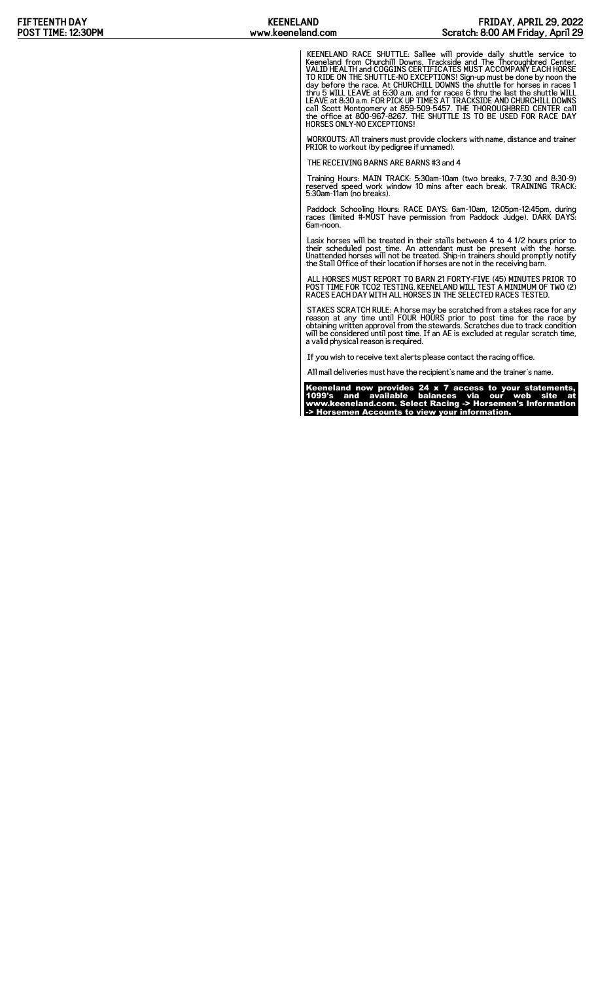KEENELAND RACE SHUTTLE: Sallee will provide daily shuttle service to Keeneland from Churchill Downs, Trackside and The Thoroughbred Center. VALID HEALTH and COGGINS CERTIFICATES MUST ACCOMPANY EACH HORSE TO RIDE ON THE SHUTTLE-NO EXCEPTIONS! Sign-up must be done by noon the<br>day before the race. At CHURCHILL DOWNS the shuttle for horses in races 1<br>thru 5 WILL LEAVE at 6:30 a.m. and for races 6 thru the last the shuttle WILL HORSES ONLY-NO EXCEPTIONS!

WORKOUTS: All trainers must provide clockers with name, distance and trainer PRIOR to workout (by pedigree if unnamed).

THE RECEIVING BARNS ARE BARNS #3 and 4

Training Hours: MAIN TRACK: 5:30am-10am (two breaks, 7-7:30 and 8:30-9) reserved speed work window 10 mins after each break. TRAINING TRACK: 5:30am-11am (no breaks).

Paddock Schooling Hours: RACE DAYS: 6am-10am, 12:05pm-12:45pm, during races (limited #-MUST have permission from Paddock Judge). DARK DAYS: 6am-noon.

Lasix horses will be treated in their stalls between 4 to 4 1/2 hours prior to<br>their scheduled post time. An attendant must be present with the horse.<br>Unattended horses will not be treated. Ship-in trainers should promptly

ALL HORSES MUST REPORT TO BARN 21 FORTY-FIVE (45) MINUTES PRIOR TO POST TIME FOR TCO2 TESTING. KEENELAND WILL TEST A MINIMUM OF TWO (2) RACES EACH DAY WITH ALL HORSES IN THE SELECTED RACES TESTED.

STAKES SCRATCH RULE: A horse may be scratched from a stakes race for any<br>reason at any time until FOUR HOURS prior to post time for the race by<br>obtaining written approval from the stewards. Scratches due to track condition a valid physical reason is required.

If you wish to receive text alerts please contact the racing office.

All mail deliveries must have the recipient's name and the trainer's name.

Keeneland now provides 24 x 7 access to your statements, 1099's and available balances via our web site at www.keeneland.com. Select Racing -> Horsemen's Information -> Horsemen Accounts to view your information.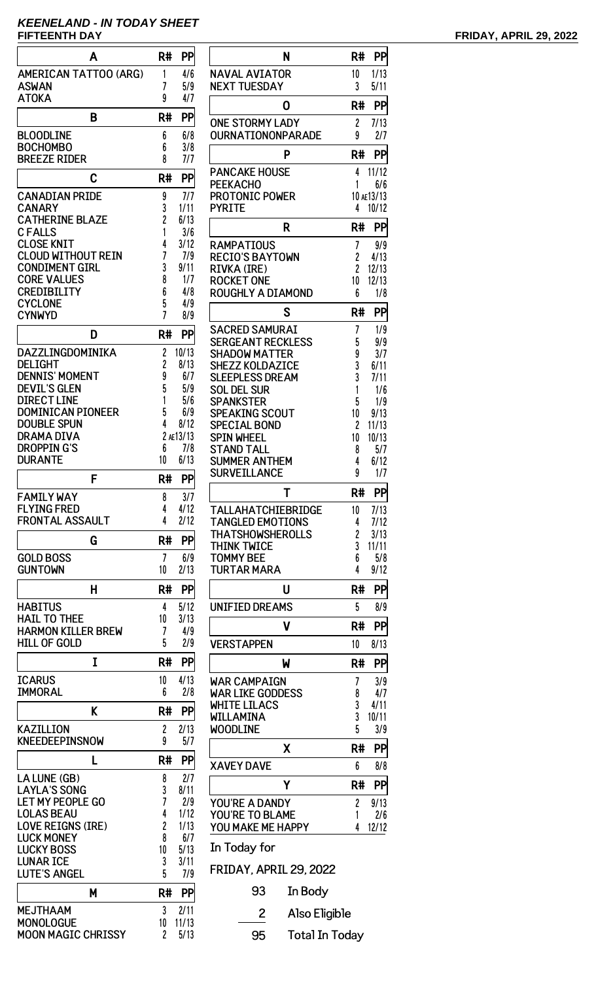# **KEENELAND - IN TODAY SHEET**

| Α                                              | R#                  | PP               |
|------------------------------------------------|---------------------|------------------|
| <b>AMERICAN TATTOO (ARG)</b>                   | 1                   | 4/6              |
| <b>ASWAN</b>                                   | 7                   | 5/9              |
| <b>ATOKA</b>                                   | 9                   | 4/7              |
| B                                              | R#                  | PP               |
| <b>BLOODLINE</b>                               | 6                   | 6/8              |
| <b>BOCHOMBO</b>                                | 6                   | 3/8              |
| <b>BREEZE RIDER</b>                            | 8                   | 7/7              |
| C                                              | R#                  | PP               |
| <b>CANADIAN PRIDE</b>                          | 9                   | 7/7              |
| <b>CANARY</b>                                  | 3                   | 1/11             |
| <b>CATHERINE BLAZE</b><br><b>CFALLS</b>        | $\overline{c}$<br>1 | 6/13<br>3/6      |
| <b>CLOSE KNIT</b>                              | 4                   | 3/12             |
| <b>CLOUD WITHOUT REIN</b>                      | 7                   | 7/9              |
| <b>CONDIMENT GIRL</b>                          | 3                   | 9/11             |
| <b>CORE VALUES</b><br><b>CREDIBILITY</b>       | 8<br>6              | 1/7<br>4/8       |
| <b>CYCLONE</b>                                 | 5                   | 4/9              |
| <b>CYNWYD</b>                                  | 7                   | 8/9              |
| D                                              | R#                  | PP               |
| DAZZLINGDOMINIKA                               | 2                   | 10/13            |
| <b>DELIGHT</b>                                 | 2                   | 8/13             |
| <b>DENNIS' MOMENT</b><br><b>DEVIL'S GLEN</b>   | 9<br>5              | 6/7<br>5/9       |
| <b>DIRECT LINE</b>                             | 1                   | 5/6              |
| <b>DOMINICAN PIONEER</b>                       | 5                   | 6/9              |
| <b>DOUBLE SPUN</b>                             | 4                   | 8/12             |
| DRAMA DIVA<br><b>DROPPING'S</b>                | 6                   | 2 AE13/13<br>7/8 |
| <b>DURANTE</b>                                 | 10                  | 6/13             |
| F                                              | R#                  | PP               |
| <b>FAMILY WAY</b>                              | 8                   | 3/7              |
| <b>FLYING FRED</b>                             | 4                   | 4/12             |
| <b>FRONTAL ASSAULT</b>                         | 4                   | 2/12             |
| G                                              | R#                  | PP               |
| <b>GOLD BOSS</b>                               | 7                   | 6/9              |
| <b>GUNTOWN</b>                                 | 10                  | 2/13             |
| Н                                              | R#                  | PP               |
| <b>HABITUS</b>                                 | 4                   | 5/12             |
| <b>HAIL TO THEE</b>                            | 10                  | 3/13             |
| <b>HARMON KILLER BREW</b>                      | 7<br>5              | 4/9              |
| <b>HILL OF GOLD</b>                            |                     | 2/9              |
| I                                              | R#                  | PP               |
| <b>ICARUS</b>                                  | 10                  | 4/13             |
| <b>IMMORAL</b>                                 | 6                   | 2/8              |
| K                                              | R#                  | PP               |
| <b>KAZILLION</b>                               | 2                   | 2/13             |
| KNEEDEEPINSNOW                                 | 9                   | 5/7              |
| L                                              | R#                  | PP               |
| LA LUNE (GB)                                   | 8                   | 2/7              |
| <b>LAYLA'S SONG</b><br><b>LET MY PEOPLE GO</b> | 3<br>7              | 8/11<br>2/9      |
| <b>LOLAS BEAU</b>                              | 4                   | 1/12             |
| <b>LOVE REIGNS (IRE)</b>                       | $\overline{c}$      | 1/13             |
| <b>LUCK MONEY</b>                              | 8                   | 6/7<br>5/13      |
| <b>LUCKY BOSS</b><br><b>LUNAR ICE</b>          | 10<br>3             | 3/11             |
| <b>LUTE'S ANGEL</b>                            | 5                   | 7/9              |
| Μ                                              | R#                  | PP               |
| <b>MEJTHAAM</b>                                | 3                   | 2/11             |
| <b>MONOLOGUE</b>                               | 10                  | 11/13            |
| <b>MOON MAGIC CHRISSY</b>                      | $\overline{c}$      | 5/13             |

| N                                                | R#                  | PP                |
|--------------------------------------------------|---------------------|-------------------|
| <b>NAVAL AVIATOR</b><br><b>NEXT TUESDAY</b>      | 10<br>3             | 1/13<br>5/11      |
| 0                                                | R#                  | PP                |
| <b>ONE STORMY LADY</b><br>OURNATIONONPARADE      | 2<br>9              | 7/13<br>2/7       |
| Ρ                                                | R#                  | PP                |
| <b>PANCAKE HOUSE</b>                             | 4                   | 11/12             |
| PEEKACHO<br>PROTONIC POWER                       | 1                   | 6/6<br>10 AE13/13 |
| <b>PYRITE</b>                                    | 4                   | 10/12             |
| R                                                | R#                  | PP                |
| RAMPATIOUS                                       | 7                   | 9/9               |
| <b>RECIO'S BAYTOWN</b><br>RIVKA (IRE)            | 2<br>$\overline{c}$ | 4/13<br>12/13     |
| <b>ROCKET ONE</b>                                | 10                  | 12/13             |
| <b>ROUGHLY A DIAMOND</b>                         | 6                   | 1/8               |
| S                                                | R#                  | PP                |
| <b>SACRED SAMURAI</b>                            | 7                   | 1/9               |
| <b>SERGEANT RECKLESS</b><br><b>SHADOW MATTER</b> | 5<br>9              | 9/9<br>3/7        |
| <b>SHEZZ KOLDAZICE</b>                           | 3                   | 6/11              |
| <b>SLEEPLESS DREAM</b>                           | 3                   | 7/11              |
| <b>SOL DEL SUR</b><br>SPANKSTER                  | 1<br>5              | 1/6<br>1/9        |
| SPEAKING SCOUT                                   | 10                  | 9/13              |
| SPECIAL BOND                                     | 2                   | 11/13             |
| <b>SPIN WHEEL</b><br>STAND TALL                  | 10<br>8             | 10/13<br>5/7      |
| SUMMER ANTHEM                                    | 4                   | 6/12              |
| SURVEILLANCE                                     | 9                   | 1/7               |
| Т                                                | R#                  | PP                |
| TALLAHATCHIEBRIDGE                               | 10                  | 7/13              |
| <b>TANGLED EMOTIONS</b><br>THATSHOWSHEROLLS      | 4<br>2              | 7/12<br>3/13      |
| THINK TWICE                                      | 3                   | 11/11             |
| <b>TOMMY BEE</b>                                 | 6                   | 5/8               |
| <b>TURTAR MARA</b>                               | 4                   | 9/12              |
| U                                                | R#                  | PP                |
| <b>UNIFIED DREAMS</b>                            | 5                   | 8/9               |
| ۷                                                | R#                  | PP                |
| <b>VERSTAPPEN</b>                                | 10                  | 8/13              |
| W                                                | R#                  | PP                |
| <b>WAR CAMPAIGN</b><br><b>WAR LIKE GODDESS</b>   | 7<br>8              | 3/9<br>4/7        |
| <b>WHITE LILACS</b>                              | 3                   | 4/11              |
| WILLAMINA                                        | 3                   | 10/11             |
| <b>WOODLINE</b>                                  | 5                   | 3/9               |
| Χ                                                | R#                  | PP                |
| <b>XAVEY DAVE</b>                                | 6                   | 8/8               |
| Υ                                                | R#                  | PP                |
| YOU'RE A DANDY<br>YOU'RE TO BLAME                | 2<br>1              | 9/13<br>2/6       |
| YOU MAKE ME HAPPY                                | 4                   | 12/12             |
| In Today for                                     |                     |                   |
| FRIDAY, APRIL 29. 2022                           |                     |                   |
|                                                  |                     |                   |

93 In Body

2 Also Eligible

95 Total In Today